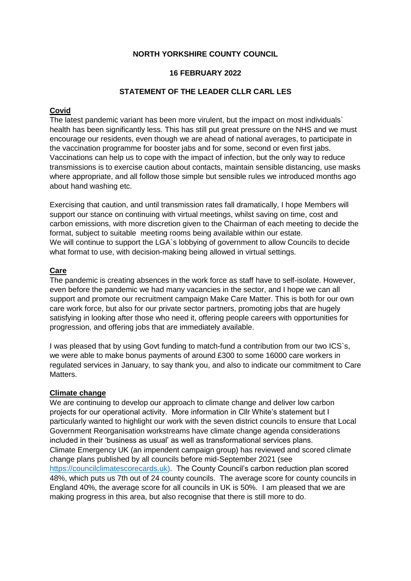# **NORTH YORKSHIRE COUNTY COUNCIL**

## **16 FEBRUARY 2022**

## **STATEMENT OF THE LEADER CLLR CARL LES**

# **Covid**

The latest pandemic variant has been more virulent, but the impact on most individuals` health has been significantly less. This has still put great pressure on the NHS and we must encourage our residents, even though we are ahead of national averages, to participate in the vaccination programme for booster jabs and for some, second or even first jabs. Vaccinations can help us to cope with the impact of infection, but the only way to reduce transmissions is to exercise caution about contacts, maintain sensible distancing, use masks where appropriate, and all follow those simple but sensible rules we introduced months ago about hand washing etc.

Exercising that caution, and until transmission rates fall dramatically, I hope Members will support our stance on continuing with virtual meetings, whilst saving on time, cost and carbon emissions, with more discretion given to the Chairman of each meeting to decide the format, subject to suitable meeting rooms being available within our estate. We will continue to support the LGA`s lobbying of government to allow Councils to decide what format to use, with decision-making being allowed in virtual settings.

#### **Care**

The pandemic is creating absences in the work force as staff have to self-isolate. However, even before the pandemic we had many vacancies in the sector, and I hope we can all support and promote our recruitment campaign Make Care Matter. This is both for our own care work force, but also for our private sector partners, promoting jobs that are hugely satisfying in looking after those who need it, offering people careers with opportunities for progression, and offering jobs that are immediately available.

I was pleased that by using Govt funding to match-fund a contribution from our two ICS`s, we were able to make bonus payments of around £300 to some 16000 care workers in regulated services in January, to say thank you, and also to indicate our commitment to Care Matters.

#### **Climate change**

We are continuing to develop our approach to climate change and deliver low carbon projects for our operational activity. More information in Cllr White's statement but I particularly wanted to highlight our work with the seven district councils to ensure that Local Government Reorganisation workstreams have climate change agenda considerations included in their 'business as usual' as well as transformational services plans. Climate Emergency UK (an impendent campaign group) has reviewed and scored climate change plans published by all councils before mid-September 2021 (see [https://councilclimatescorecards.uk\)](https://councilclimatescorecards.uk/). The County Council's carbon reduction plan scored 48%, which puts us 7th out of 24 county councils. The average score for county councils in England 40%, the average score for all councils in UK is 50%. I am pleased that we are making progress in this area, but also recognise that there is still more to do.